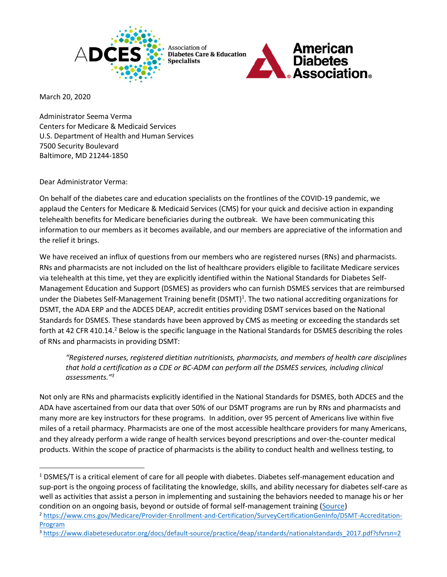

Association of **Diabetes Care & Education** Specialists



March 20, 2020

Administrator Seema Verma Centers for Medicare & Medicaid Services U.S. Department of Health and Human Services 7500 Security Boulevard Baltimore, MD 21244-1850

Dear Administrator Verma:

On behalf of the diabetes care and education specialists on the frontlines of the COVID-19 pandemic, we applaud the Centers for Medicare & Medicaid Services (CMS) for your quick and decisive action in expanding telehealth benefits for Medicare beneficiaries during the outbreak. We have been communicating this information to our members as it becomes available, and our members are appreciative of the information and the relief it brings.

We have received an influx of questions from our members who are registered nurses (RNs) and pharmacists. RNs and pharmacists are not included on the list of healthcare providers eligible to facilitate Medicare services via telehealth at this time, yet they are explicitly identified within the National Standards for Diabetes Self-Management Education and Support (DSMES) as providers who can furnish DSMES services that are reimbursed under the Diabetes Self-Management Training benefit (DSMT)<sup>1</sup>. The two national accrediting organizations for DSMT, the ADA ERP and the ADCES DEAP, accredit entities providing DSMT services based on the National Standards for DSMES. These standards have been approved by CMS as meeting or exceeding the standards set forth at 42 CFR 410.14.<sup>2</sup> Below is the specific language in the National Standards for DSMES describing the roles of RNs and pharmacists in providing DSMT:

*"Registered nurses, registered dietitian nutritionists, pharmacists, and members of health care disciplines that hold a certification as a CDE or BC-ADM can perform all the DSMES services, including clinical assessments."<sup>3</sup>*

Not only are RNs and pharmacists explicitly identified in the National Standards for DSMES, both ADCES and the ADA have ascertained from our data that over 50% of our DSMT programs are run by RNs and pharmacists and many more are key instructors for these programs. In addition, over 95 percent of Americans live within five miles of a retail pharmacy. Pharmacists are one of the most accessible healthcare providers for many Americans, and they already perform a wide range of health services beyond prescriptions and over-the-counter medical products. Within the scope of practice of pharmacists is the ability to conduct health and wellness testing, to

<sup>1</sup> DSMES/T is a critical element of care for all people with diabetes. Diabetes self-management education and sup-port is the ongoing process of facilitating the knowledge, skills, and ability necessary for diabetes self-care as well as activities that assist a person in implementing and sustaining the behaviors needed to manage his or her condition on an ongoing basis, beyond or outside of formal self-management training [\(Source\)](https://www.diabeteseducator.org/docs/default-source/practice/deap/standards/nationalstandards_2017.pdf?sfvrsn=2)

<sup>2</sup> [https://www.cms.gov/Medicare/Provider-Enrollment-and-Certification/SurveyCertificationGenInfo/DSMT-Accreditation-](https://www.cms.gov/Medicare/Provider-Enrollment-and-Certification/SurveyCertificationGenInfo/DSMT-Accreditation-Program)[Program](https://www.cms.gov/Medicare/Provider-Enrollment-and-Certification/SurveyCertificationGenInfo/DSMT-Accreditation-Program)

<sup>&</sup>lt;sup>3</sup> [https://www.diabeteseducator.org/docs/default-source/practice/deap/standards/nationalstandards\\_2017.pdf?sfvrsn=2](https://www.diabeteseducator.org/docs/default-source/practice/deap/standards/nationalstandards_2017.pdf?sfvrsn=2)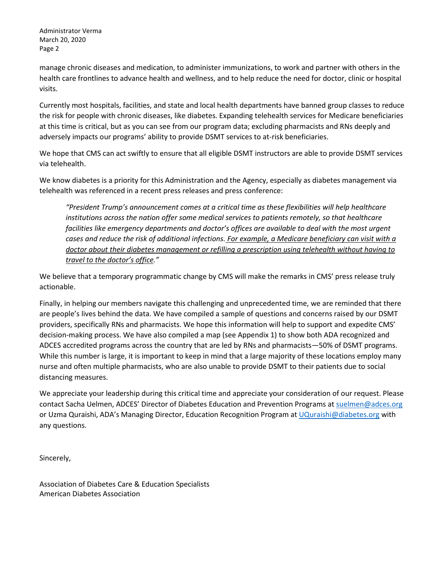Administrator Verma March 20, 2020 Page 2

manage chronic diseases and medication, to administer immunizations, to work and partner with others in the health care frontlines to advance health and wellness, and to help reduce the need for doctor, clinic or hospital visits.

Currently most hospitals, facilities, and state and local health departments have banned group classes to reduce the risk for people with chronic diseases, like diabetes. Expanding telehealth services for Medicare beneficiaries at this time is critical, but as you can see from our program data; excluding pharmacists and RNs deeply and adversely impacts our programs' ability to provide DSMT services to at-risk beneficiaries.

We hope that CMS can act swiftly to ensure that all eligible DSMT instructors are able to provide DSMT services via telehealth.

We know diabetes is a priority for this Administration and the Agency, especially as diabetes management via telehealth was referenced in a recent press releases and press conference:

*"President Trump's announcement comes at a critical time as these flexibilities will help healthcare institutions across the nation offer some medical services to patients remotely, so that healthcare*  facilities like emergency departments and doctor's offices are available to deal with the most urgent *cases and reduce the risk of additional infections. For example, a Medicare beneficiary can visit with a doctor about their diabetes management or refilling a prescription using telehealth without having to travel to the doctor's office."*

We believe that a temporary programmatic change by CMS will make the remarks in CMS' press release truly actionable.

Finally, in helping our members navigate this challenging and unprecedented time, we are reminded that there are people's lives behind the data. We have compiled a sample of questions and concerns raised by our DSMT providers, specifically RNs and pharmacists. We hope this information will help to support and expedite CMS' decision-making process. We have also compiled a map (see Appendix 1) to show both ADA recognized and ADCES accredited programs across the country that are led by RNs and pharmacists—50% of DSMT programs. While this number is large, it is important to keep in mind that a large majority of these locations employ many nurse and often multiple pharmacists, who are also unable to provide DSMT to their patients due to social distancing measures.

We appreciate your leadership during this critical time and appreciate your consideration of our request. Please contact Sacha Uelmen, ADCES' Director of Diabetes Education and Prevention Programs a[t suelmen@adces.org](mailto:suelmen@adces.org) or Uzma Quraishi, ADA's Managing Director, Education Recognition Program a[t UQuraishi@diabetes.org](mailto:UQuraishi@diabetes.org) with any questions.

Sincerely,

Association of Diabetes Care & Education Specialists American Diabetes Association